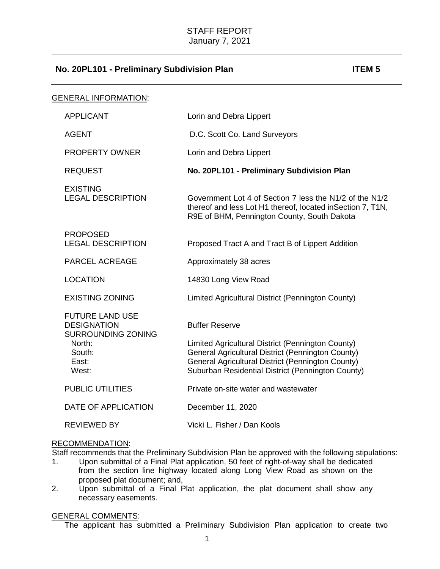# **No. 20PL101 - Preliminary Subdivision Plan ITEM 5**

| <b>GENERAL INFORMATION:</b> |                                                                                                                 |                                                                                                                                                                                                                                           |
|-----------------------------|-----------------------------------------------------------------------------------------------------------------|-------------------------------------------------------------------------------------------------------------------------------------------------------------------------------------------------------------------------------------------|
|                             | <b>APPLICANT</b>                                                                                                | Lorin and Debra Lippert                                                                                                                                                                                                                   |
|                             | <b>AGENT</b>                                                                                                    | D.C. Scott Co. Land Surveyors                                                                                                                                                                                                             |
|                             | <b>PROPERTY OWNER</b>                                                                                           | Lorin and Debra Lippert                                                                                                                                                                                                                   |
|                             | <b>REQUEST</b>                                                                                                  | No. 20PL101 - Preliminary Subdivision Plan                                                                                                                                                                                                |
|                             | <b>EXISTING</b><br><b>LEGAL DESCRIPTION</b>                                                                     | Government Lot 4 of Section 7 less the N1/2 of the N1/2<br>thereof and less Lot H1 thereof, located in Section 7, T1N,<br>R9E of BHM, Pennington County, South Dakota                                                                     |
|                             | <b>PROPOSED</b><br><b>LEGAL DESCRIPTION</b>                                                                     | Proposed Tract A and Tract B of Lippert Addition                                                                                                                                                                                          |
|                             | <b>PARCEL ACREAGE</b>                                                                                           | Approximately 38 acres                                                                                                                                                                                                                    |
|                             | <b>LOCATION</b>                                                                                                 | 14830 Long View Road                                                                                                                                                                                                                      |
|                             | <b>EXISTING ZONING</b>                                                                                          | Limited Agricultural District (Pennington County)                                                                                                                                                                                         |
|                             | <b>FUTURE LAND USE</b><br><b>DESIGNATION</b><br><b>SURROUNDING ZONING</b><br>North:<br>South:<br>East:<br>West: | <b>Buffer Reserve</b><br>Limited Agricultural District (Pennington County)<br>General Agricultural District (Pennington County)<br>General Agricultural District (Pennington County)<br>Suburban Residential District (Pennington County) |
|                             | <b>PUBLIC UTILITIES</b>                                                                                         | Private on-site water and wastewater                                                                                                                                                                                                      |
|                             | DATE OF APPLICATION                                                                                             | December 11, 2020                                                                                                                                                                                                                         |
|                             | <b>REVIEWED BY</b>                                                                                              | Vicki L. Fisher / Dan Kools                                                                                                                                                                                                               |

# RECOMMENDATION:

Staff recommends that the Preliminary Subdivision Plan be approved with the following stipulations:

- 1. Upon submittal of a Final Plat application, 50 feet of right-of-way shall be dedicated from the section line highway located along Long View Road as shown on the proposed plat document; and,
- 2. Upon submittal of a Final Plat application, the plat document shall show any necessary easements.

### GENERAL COMMENTS:

The applicant has submitted a Preliminary Subdivision Plan application to create two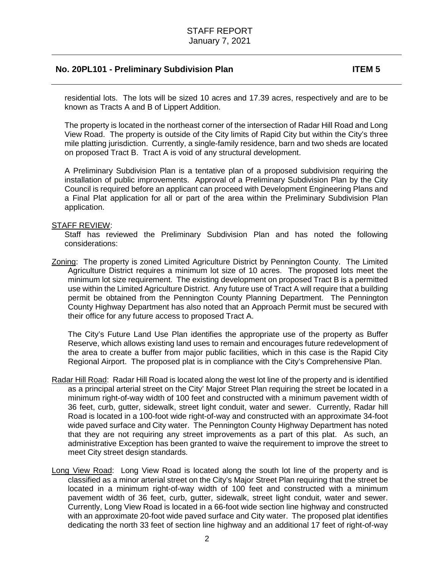# **No. 20PL101 - Preliminary Subdivision Plan ITEM 5**

residential lots. The lots will be sized 10 acres and 17.39 acres, respectively and are to be known as Tracts A and B of Lippert Addition.

The property is located in the northeast corner of the intersection of Radar Hill Road and Long View Road. The property is outside of the City limits of Rapid City but within the City's three mile platting jurisdiction. Currently, a single-family residence, barn and two sheds are located on proposed Tract B. Tract A is void of any structural development.

A Preliminary Subdivision Plan is a tentative plan of a proposed subdivision requiring the installation of public improvements. Approval of a Preliminary Subdivision Plan by the City Council is required before an applicant can proceed with Development Engineering Plans and a Final Plat application for all or part of the area within the Preliminary Subdivision Plan application.

### STAFF REVIEW:

Staff has reviewed the Preliminary Subdivision Plan and has noted the following considerations:

Zoning: The property is zoned Limited Agriculture District by Pennington County. The Limited Agriculture District requires a minimum lot size of 10 acres. The proposed lots meet the minimum lot size requirement. The existing development on proposed Tract B is a permitted use within the Limited Agriculture District. Any future use of Tract A will require that a building permit be obtained from the Pennington County Planning Department. The Pennington County Highway Department has also noted that an Approach Permit must be secured with their office for any future access to proposed Tract A.

The City's Future Land Use Plan identifies the appropriate use of the property as Buffer Reserve, which allows existing land uses to remain and encourages future redevelopment of the area to create a buffer from major public facilities, which in this case is the Rapid City Regional Airport. The proposed plat is in compliance with the City's Comprehensive Plan.

- Radar Hill Road: Radar Hill Road is located along the west lot line of the property and is identified as a principal arterial street on the City' Major Street Plan requiring the street be located in a minimum right-of-way width of 100 feet and constructed with a minimum pavement width of 36 feet, curb, gutter, sidewalk, street light conduit, water and sewer. Currently, Radar hill Road is located in a 100-foot wide right-of-way and constructed with an approximate 34-foot wide paved surface and City water. The Pennington County Highway Department has noted that they are not requiring any street improvements as a part of this plat. As such, an administrative Exception has been granted to waive the requirement to improve the street to meet City street design standards.
- Long View Road: Long View Road is located along the south lot line of the property and is classified as a minor arterial street on the City's Major Street Plan requiring that the street be located in a minimum right-of-way width of 100 feet and constructed with a minimum pavement width of 36 feet, curb, gutter, sidewalk, street light conduit, water and sewer. Currently, Long View Road is located in a 66-foot wide section line highway and constructed with an approximate 20-foot wide paved surface and City water. The proposed plat identifies dedicating the north 33 feet of section line highway and an additional 17 feet of right-of-way